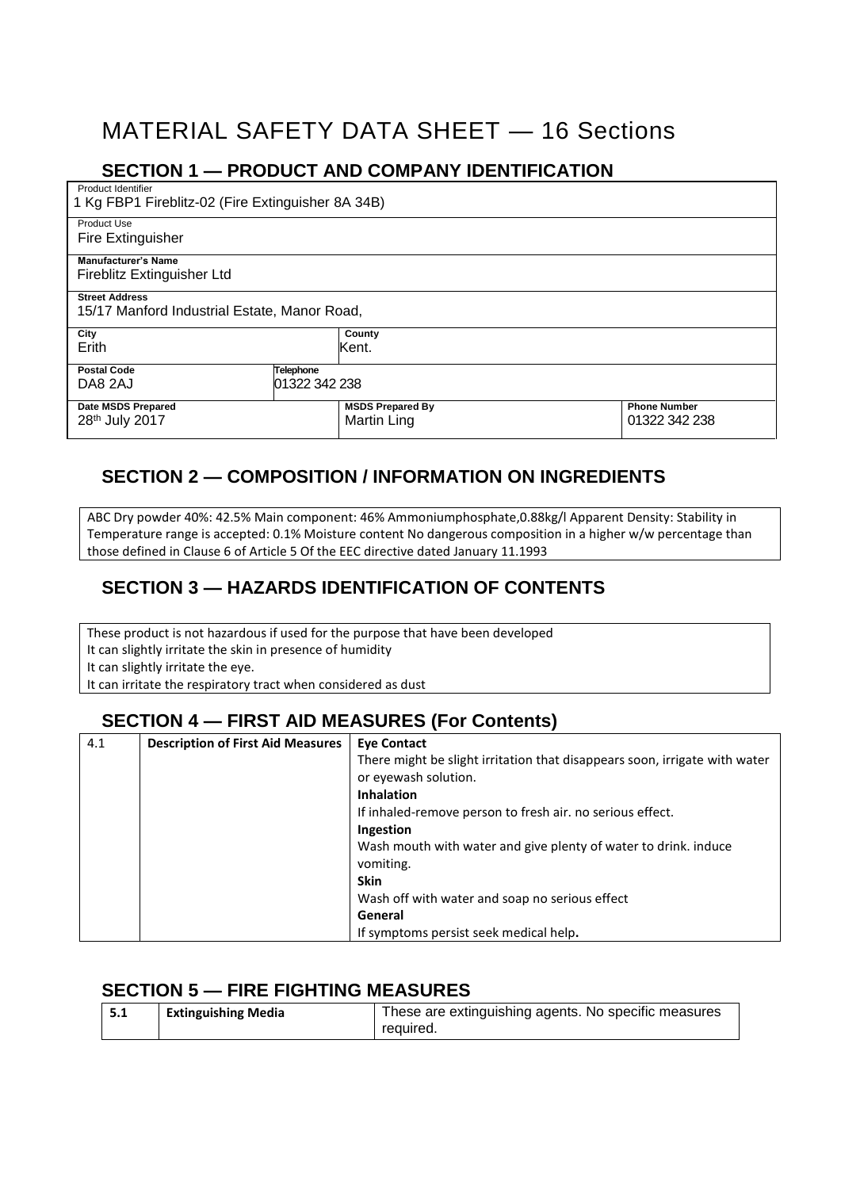# MATERIAL SAFETY DATA SHEET — 16 Sections

#### **SECTION 1 — PRODUCT AND COMPANY IDENTIFICATION**

Product Identifier 1 Kg FBP1 Fireblitz-02 (Fire Extinguisher 8A 34B)

Product Use Fire Extinguisher

**Manufacturer's Name**

Fireblitz Extinguisher Ltd

**Street Address** 15/17 Manford Industrial Estate, Manor Road,

| <b>19/17 IVIDITUTU IIIUUSUTAL LSIALE, IVIDITUI TVAU,</b> |                  |                         |                     |
|----------------------------------------------------------|------------------|-------------------------|---------------------|
| City                                                     |                  | County                  |                     |
| Erith                                                    |                  | Kent.                   |                     |
| <b>Postal Code</b>                                       | <b>Telephone</b> |                         |                     |
| DA8 2AJ                                                  | 01322 342 238    |                         |                     |
| <b>Date MSDS Prepared</b>                                |                  | <b>MSDS Prepared By</b> | <b>Phone Number</b> |
| 28 <sup>th</sup> July 2017                               |                  | Martin Ling             | 01322 342 238       |

# **SECTION 2 — COMPOSITION / INFORMATION ON INGREDIENTS**

ABC Dry powder 40%: 42.5% Main component: 46% Ammoniumphosphate,0.88kg/l Apparent Density: Stability in Temperature range is accepted: 0.1% Moisture content No dangerous composition in a higher w/w percentage than those defined in Clause 6 of Article 5 Of the EEC directive dated January 11.1993

## **SECTION 3 — HAZARDS IDENTIFICATION OF CONTENTS**

These product is not hazardous if used for the purpose that have been developed It can slightly irritate the skin in presence of humidity It can slightly irritate the eye. It can irritate the respiratory tract when considered as dust

## **SECTION 4 — FIRST AID MEASURES (For Contents)**

| 4.1 | <b>Description of First Aid Measures</b> | <b>Eye Contact</b>                                                         |
|-----|------------------------------------------|----------------------------------------------------------------------------|
|     |                                          | There might be slight irritation that disappears soon, irrigate with water |
|     |                                          | or eyewash solution.                                                       |
|     |                                          | <b>Inhalation</b>                                                          |
|     |                                          | If inhaled-remove person to fresh air. no serious effect.                  |
|     |                                          | Ingestion                                                                  |
|     |                                          | Wash mouth with water and give plenty of water to drink. induce            |
|     |                                          | vomiting.                                                                  |
|     |                                          | <b>Skin</b>                                                                |
|     |                                          | Wash off with water and soap no serious effect                             |
|     |                                          | General                                                                    |
|     |                                          | If symptoms persist seek medical help.                                     |

#### **SECTION 5 — FIRE FIGHTING MEASURES**

| 5.1 | <b>Extinguishing Media</b> | These are extinguishing agents. No specific measures |
|-----|----------------------------|------------------------------------------------------|
|     |                            | required.                                            |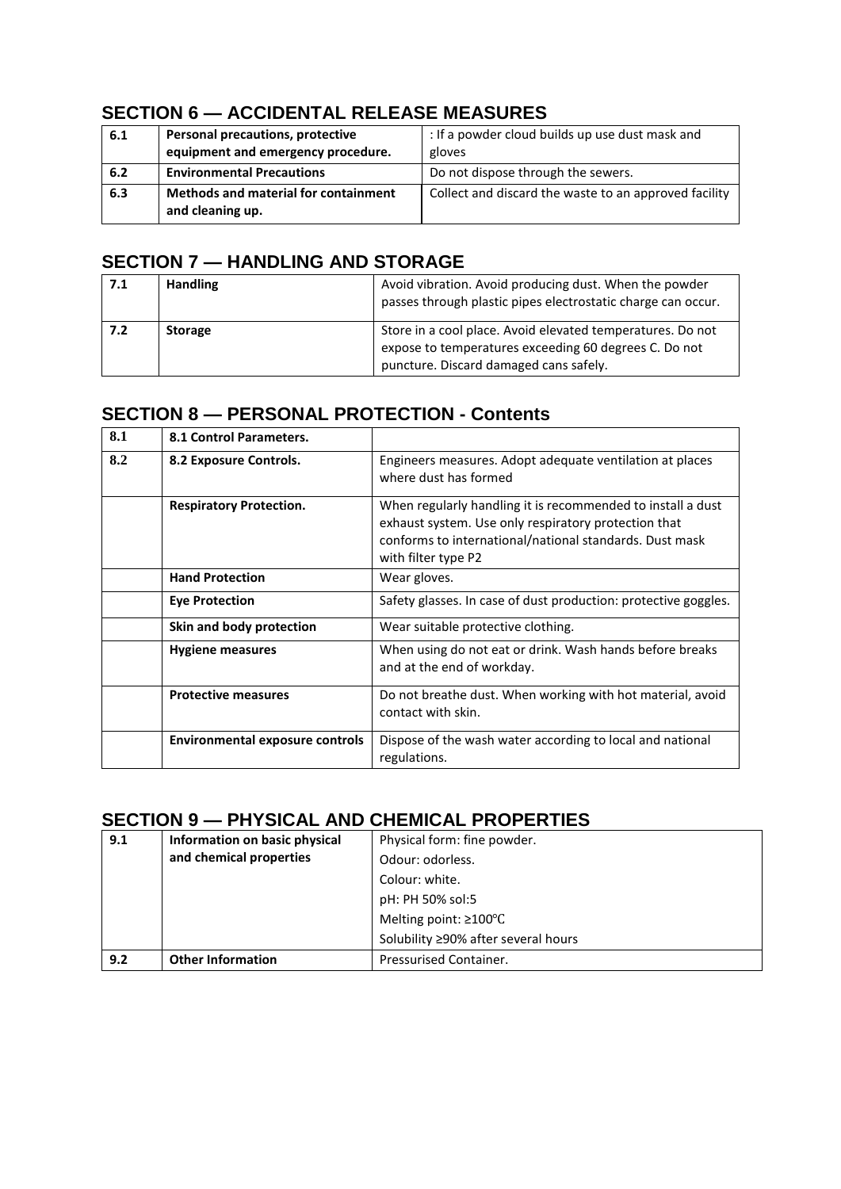## **SECTION 6 — ACCIDENTAL RELEASE MEASURES**

| 6.1 | Personal precautions, protective                         | : If a powder cloud builds up use dust mask and       |
|-----|----------------------------------------------------------|-------------------------------------------------------|
|     | equipment and emergency procedure.                       | gloves                                                |
| 6.2 | <b>Environmental Precautions</b>                         | Do not dispose through the sewers.                    |
| 6.3 | Methods and material for containment<br>and cleaning up. | Collect and discard the waste to an approved facility |

## **SECTION 7 — HANDLING AND STORAGE**

| 7.1 | <b>Handling</b> | Avoid vibration. Avoid producing dust. When the powder<br>passes through plastic pipes electrostatic charge can occur.                                        |
|-----|-----------------|---------------------------------------------------------------------------------------------------------------------------------------------------------------|
| 7.2 | <b>Storage</b>  | Store in a cool place. Avoid elevated temperatures. Do not<br>expose to temperatures exceeding 60 degrees C. Do not<br>puncture. Discard damaged cans safely. |

#### **SECTION 8 — PERSONAL PROTECTION - Contents**

| 8.1 | 8.1 Control Parameters.                |                                                                                                                                                                                                       |
|-----|----------------------------------------|-------------------------------------------------------------------------------------------------------------------------------------------------------------------------------------------------------|
| 8.2 | 8.2 Exposure Controls.                 | Engineers measures. Adopt adequate ventilation at places<br>where dust has formed                                                                                                                     |
|     | <b>Respiratory Protection.</b>         | When regularly handling it is recommended to install a dust<br>exhaust system. Use only respiratory protection that<br>conforms to international/national standards. Dust mask<br>with filter type P2 |
|     | <b>Hand Protection</b>                 | Wear gloves.                                                                                                                                                                                          |
|     | <b>Eye Protection</b>                  | Safety glasses. In case of dust production: protective goggles.                                                                                                                                       |
|     | Skin and body protection               | Wear suitable protective clothing.                                                                                                                                                                    |
|     | <b>Hygiene measures</b>                | When using do not eat or drink. Wash hands before breaks<br>and at the end of workday.                                                                                                                |
|     | <b>Protective measures</b>             | Do not breathe dust. When working with hot material, avoid<br>contact with skin.                                                                                                                      |
|     | <b>Environmental exposure controls</b> | Dispose of the wash water according to local and national<br>regulations.                                                                                                                             |

#### **SECTION 9 — PHYSICAL AND CHEMICAL PROPERTIES**

| 9.1 | Information on basic physical | Physical form: fine powder.         |
|-----|-------------------------------|-------------------------------------|
|     | and chemical properties       | Odour: odorless.                    |
|     |                               | Colour: white.                      |
|     |                               | pH: PH 50% sol:5                    |
|     |                               | Melting point: $\geq 100^{\circ}$ C |
|     |                               | Solubility ≥90% after several hours |
| 9.2 | <b>Other Information</b>      | Pressurised Container.              |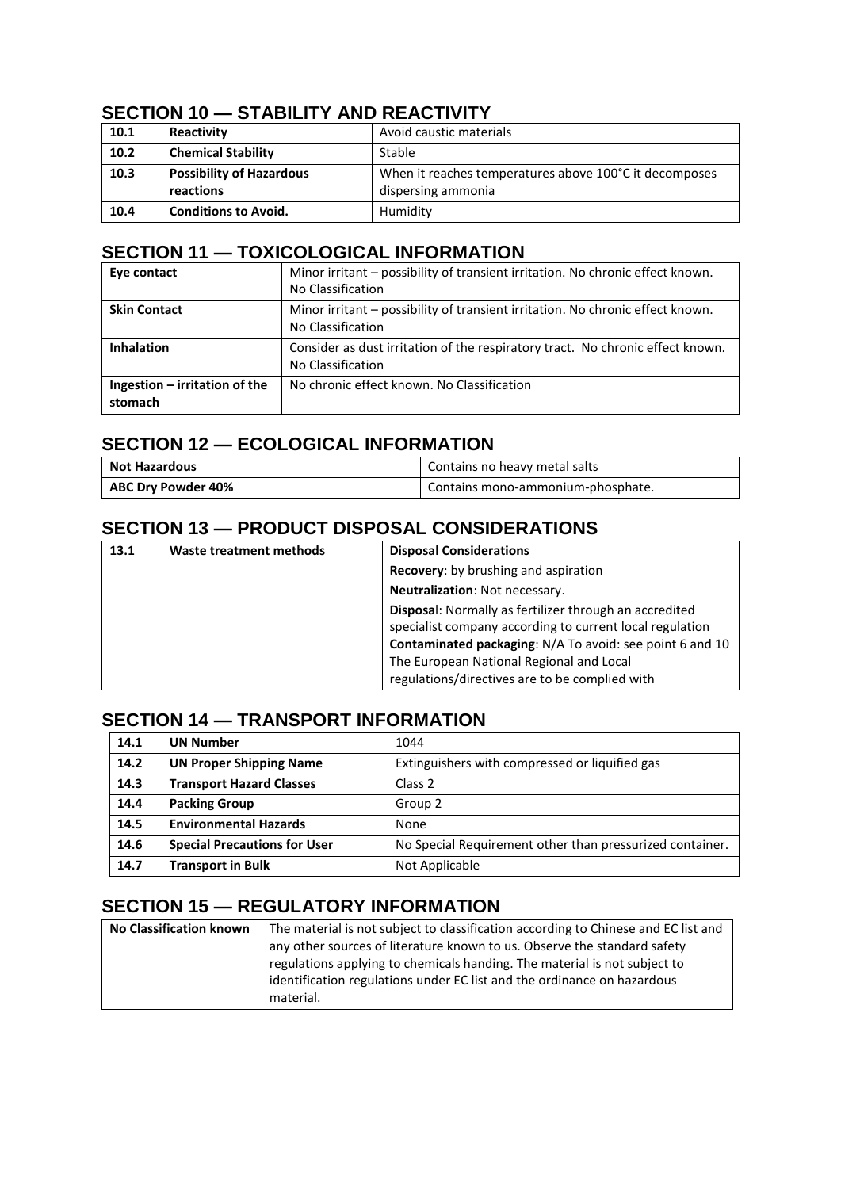## **SECTION 10 — STABILITY AND REACTIVITY**

| 10.1 | Reactivity                      | Avoid caustic materials                                |
|------|---------------------------------|--------------------------------------------------------|
| 10.2 | <b>Chemical Stability</b>       | Stable                                                 |
| 10.3 | <b>Possibility of Hazardous</b> | When it reaches temperatures above 100°C it decomposes |
|      | reactions                       | dispersing ammonia                                     |
| 10.4 | <b>Conditions to Avoid.</b>     | Humidity                                               |

#### **SECTION 11 — TOXICOLOGICAL INFORMATION**

| Eye contact                              | Minor irritant – possibility of transient irritation. No chronic effect known.<br>No Classification |
|------------------------------------------|-----------------------------------------------------------------------------------------------------|
| <b>Skin Contact</b>                      | Minor irritant – possibility of transient irritation. No chronic effect known.<br>No Classification |
| <b>Inhalation</b>                        | Consider as dust irritation of the respiratory tract. No chronic effect known.<br>No Classification |
| Ingestion - irritation of the<br>stomach | No chronic effect known. No Classification                                                          |

## **SECTION 12 — ECOLOGICAL INFORMATION**

| Not Hazardous      | Contains no heavy metal salts     |
|--------------------|-----------------------------------|
| ABC Dry Powder 40% | Contains mono-ammonium-phosphate. |

## **SECTION 13 — PRODUCT DISPOSAL CONSIDERATIONS**

| 13.1 | Waste treatment methods | <b>Disposal Considerations</b>                                                                                                                                                                                                                                                      |
|------|-------------------------|-------------------------------------------------------------------------------------------------------------------------------------------------------------------------------------------------------------------------------------------------------------------------------------|
|      |                         | Recovery: by brushing and aspiration                                                                                                                                                                                                                                                |
|      |                         | <b>Neutralization: Not necessary.</b>                                                                                                                                                                                                                                               |
|      |                         | <b>Disposal:</b> Normally as fertilizer through an accredited<br>specialist company according to current local regulation<br>Contaminated packaging: N/A To avoid: see point 6 and 10<br>The European National Regional and Local<br>regulations/directives are to be complied with |

## **SECTION 14 — TRANSPORT INFORMATION**

| 14.1 | <b>UN Number</b>                    | 1044                                                     |
|------|-------------------------------------|----------------------------------------------------------|
| 14.2 | <b>UN Proper Shipping Name</b>      | Extinguishers with compressed or liquified gas           |
| 14.3 | <b>Transport Hazard Classes</b>     | Class 2                                                  |
| 14.4 | <b>Packing Group</b>                | Group 2                                                  |
| 14.5 | <b>Environmental Hazards</b>        | None                                                     |
| 14.6 | <b>Special Precautions for User</b> | No Special Requirement other than pressurized container. |
| 14.7 | <b>Transport in Bulk</b>            | Not Applicable                                           |

#### **SECTION 15 — REGULATORY INFORMATION**

| <b>No Classification known</b> | The material is not subject to classification according to Chinese and EC list and |
|--------------------------------|------------------------------------------------------------------------------------|
|                                | any other sources of literature known to us. Observe the standard safety           |
|                                | regulations applying to chemicals handing. The material is not subject to          |
|                                | identification regulations under EC list and the ordinance on hazardous            |
|                                | material.                                                                          |